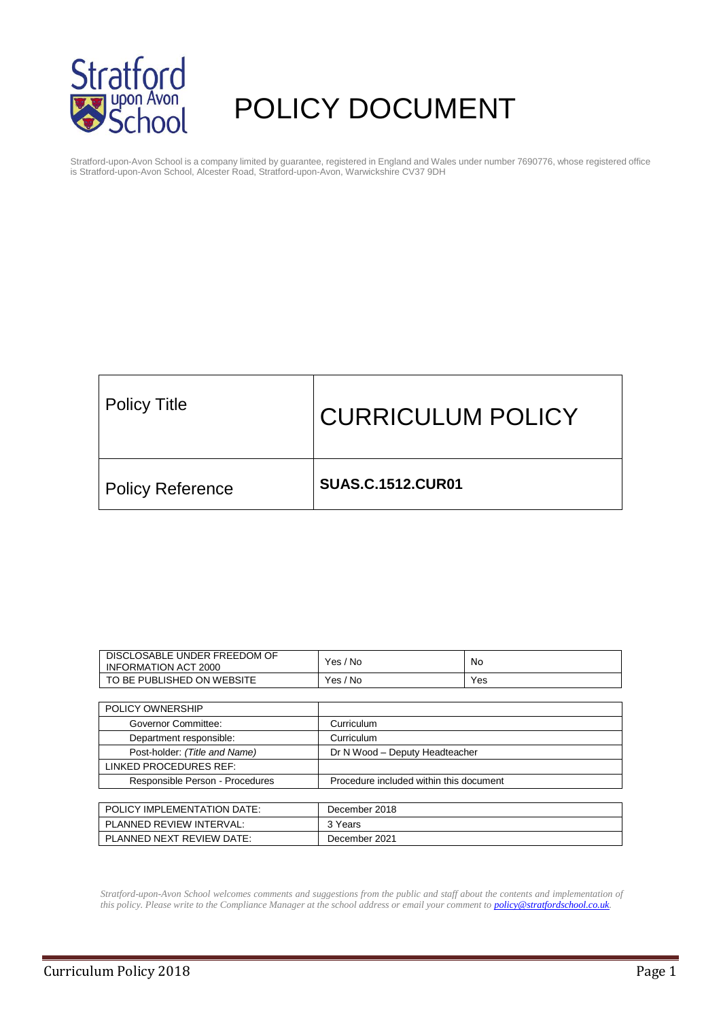

# POLICY DOCUMENT

Stratford-upon-Avon School is a company limited by guarantee, registered in England and Wales under number 7690776, whose registered office is Stratford-upon-Avon School, Alcester Road, Stratford-upon-Avon, Warwickshire CV37 9DH

| <b>Policy Title</b>     | <b>CURRICULUM POLICY</b> |
|-------------------------|--------------------------|
| <b>Policy Reference</b> | <b>SUAS.C.1512.CUR01</b> |

| DISCLOSABLE UNDER FREEDOM OF<br><b>INFORMATION ACT 2000</b> | Yes / No                                | No. |  |  |  |  |
|-------------------------------------------------------------|-----------------------------------------|-----|--|--|--|--|
| TO BE PUBLISHED ON WEBSITE                                  | Yes / No                                | Yes |  |  |  |  |
|                                                             |                                         |     |  |  |  |  |
| POLICY OWNERSHIP                                            |                                         |     |  |  |  |  |
| Governor Committee:                                         | Curriculum                              |     |  |  |  |  |
| Department responsible:                                     | Curriculum                              |     |  |  |  |  |
| Post-holder: (Title and Name)                               | Dr N Wood - Deputy Headteacher          |     |  |  |  |  |
| LINKED PROCEDURES REF:                                      |                                         |     |  |  |  |  |
| Responsible Person - Procedures                             | Procedure included within this document |     |  |  |  |  |
|                                                             |                                         |     |  |  |  |  |
| POLICY IMPLEMENTATION DATE:                                 | December 2018                           |     |  |  |  |  |
| PLANNED REVIEW INTERVAL:                                    | 3 Years                                 |     |  |  |  |  |
| PLANNED NEXT REVIEW DATE:                                   | December 2021                           |     |  |  |  |  |

*Stratford-upon-Avon School welcomes comments and suggestions from the public and staff about the contents and implementation of this policy. Please write to the Compliance Manager at the school address or email your comment to [policy@stratfordschool.co.uk.](mailto:policy@stratfordschool.co.uk)*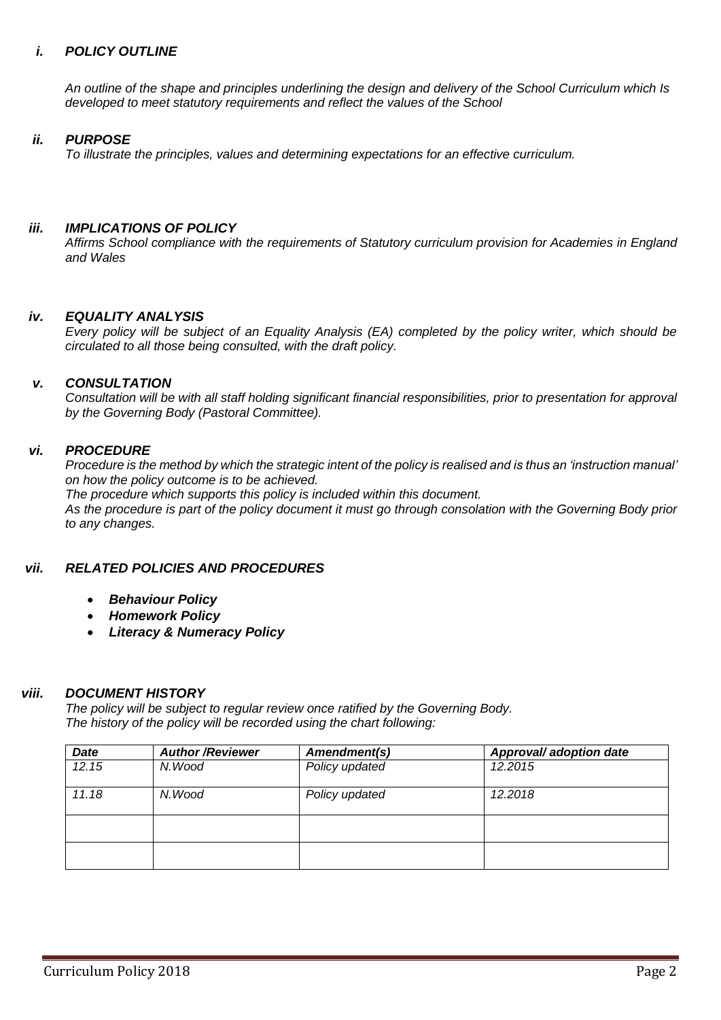#### *i. POLICY OUTLINE*

*An outline of the shape and principles underlining the design and delivery of the School Curriculum which Is developed to meet statutory requirements and reflect the values of the School*

#### *ii. PURPOSE*

*To illustrate the principles, values and determining expectations for an effective curriculum.*

#### *iii. IMPLICATIONS OF POLICY*

*Affirms School compliance with the requirements of Statutory curriculum provision for Academies in England and Wales* 

#### *iv. EQUALITY ANALYSIS*

*Every policy will be subject of an Equality Analysis (EA) completed by the policy writer, which should be circulated to all those being consulted, with the draft policy.*

#### *v. CONSULTATION*

*Consultation will be with all staff holding significant financial responsibilities, prior to presentation for approval by the Governing Body (Pastoral Committee).*

#### *vi. PROCEDURE*

*Procedure is the method by which the strategic intent of the policy is realised and is thus an 'instruction manual' on how the policy outcome is to be achieved. The procedure which supports this policy is included within this document. As the procedure is part of the policy document it must go through consolation with the Governing Body prior to any changes.*

#### *vii. RELATED POLICIES AND PROCEDURES*

- *Behaviour Policy*
- *Homework Policy*
- *Literacy & Numeracy Policy*

#### *viii. DOCUMENT HISTORY*

*The policy will be subject to regular review once ratified by the Governing Body. The history of the policy will be recorded using the chart following:*

| <b>Date</b> | <b>Author/Reviewer</b> | Amendment(s)   | Approval/ adoption date |  |  |  |  |
|-------------|------------------------|----------------|-------------------------|--|--|--|--|
| 12.15       | N.Wood                 | Policy updated | 12.2015                 |  |  |  |  |
| 11.18       | N.Wood                 | Policy updated | 12.2018                 |  |  |  |  |
|             |                        |                |                         |  |  |  |  |
|             |                        |                |                         |  |  |  |  |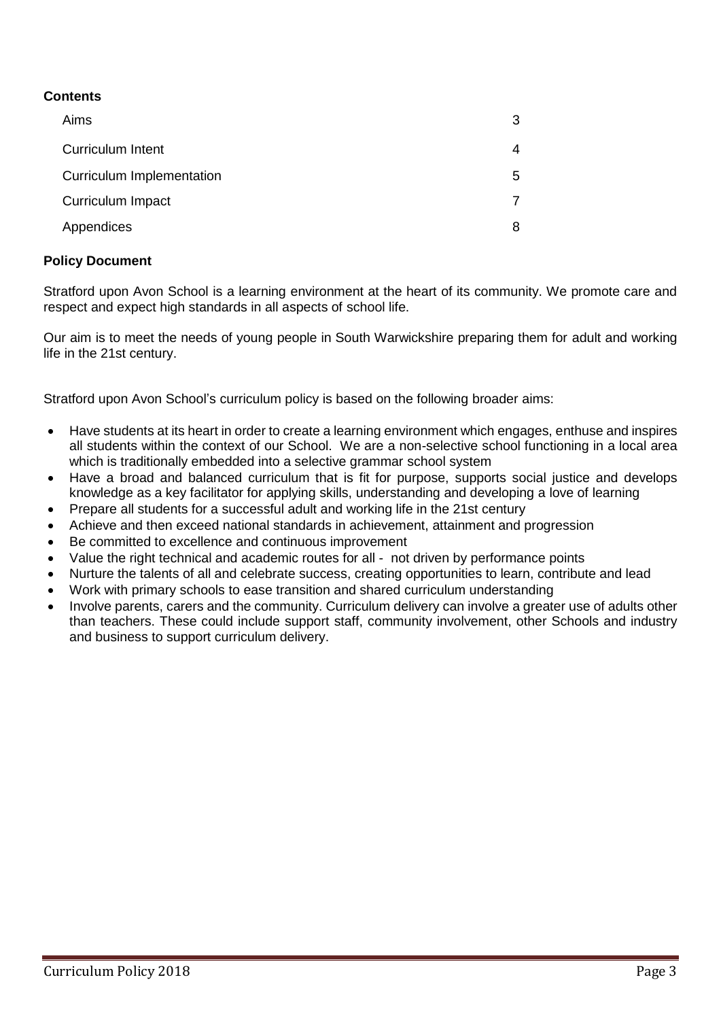## **Contents**

| Aims                             | 3 |
|----------------------------------|---|
| <b>Curriculum Intent</b>         | 4 |
| <b>Curriculum Implementation</b> | 5 |
| Curriculum Impact                |   |
| Appendices                       | 8 |

### **Policy Document**

Stratford upon Avon School is a learning environment at the heart of its community. We promote care and respect and expect high standards in all aspects of school life.

Our aim is to meet the needs of young people in South Warwickshire preparing them for adult and working life in the 21st century.

Stratford upon Avon School's curriculum policy is based on the following broader aims:

- Have students at its heart in order to create a learning environment which engages, enthuse and inspires all students within the context of our School. We are a non-selective school functioning in a local area which is traditionally embedded into a selective grammar school system
- Have a broad and balanced curriculum that is fit for purpose, supports social justice and develops knowledge as a key facilitator for applying skills, understanding and developing a love of learning
- Prepare all students for a successful adult and working life in the 21st century
- Achieve and then exceed national standards in achievement, attainment and progression
- Be committed to excellence and continuous improvement
- Value the right technical and academic routes for all not driven by performance points
- Nurture the talents of all and celebrate success, creating opportunities to learn, contribute and lead
- Work with primary schools to ease transition and shared curriculum understanding
- Involve parents, carers and the community. Curriculum delivery can involve a greater use of adults other than teachers. These could include support staff, community involvement, other Schools and industry and business to support curriculum delivery.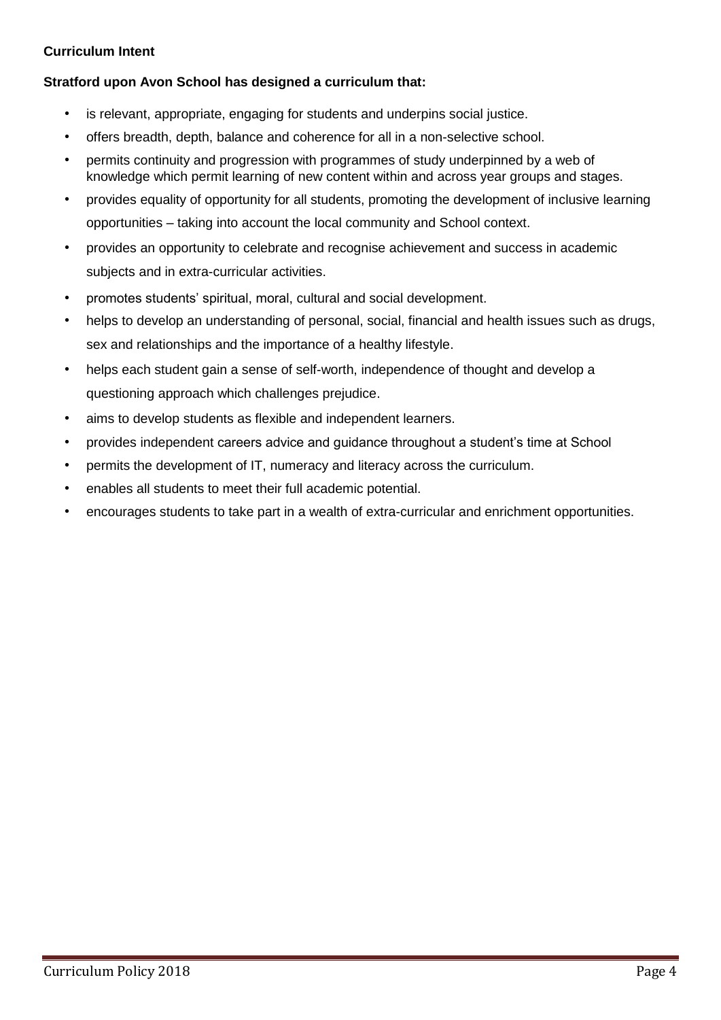## **Curriculum Intent**

## **Stratford upon Avon School has designed a curriculum that:**

- is relevant, appropriate, engaging for students and underpins social justice.
- offers breadth, depth, balance and coherence for all in a non-selective school.
- permits continuity and progression with programmes of study underpinned by a web of knowledge which permit learning of new content within and across year groups and stages.
- provides equality of opportunity for all students, promoting the development of inclusive learning opportunities – taking into account the local community and School context.
- provides an opportunity to celebrate and recognise achievement and success in academic subjects and in extra-curricular activities.
- promotes students' spiritual, moral, cultural and social development.
- helps to develop an understanding of personal, social, financial and health issues such as drugs, sex and relationships and the importance of a healthy lifestyle.
- helps each student gain a sense of self-worth, independence of thought and develop a questioning approach which challenges prejudice.
- aims to develop students as flexible and independent learners.
- provides independent careers advice and guidance throughout a student's time at School
- permits the development of IT, numeracy and literacy across the curriculum.
- enables all students to meet their full academic potential.
- encourages students to take part in a wealth of extra-curricular and enrichment opportunities.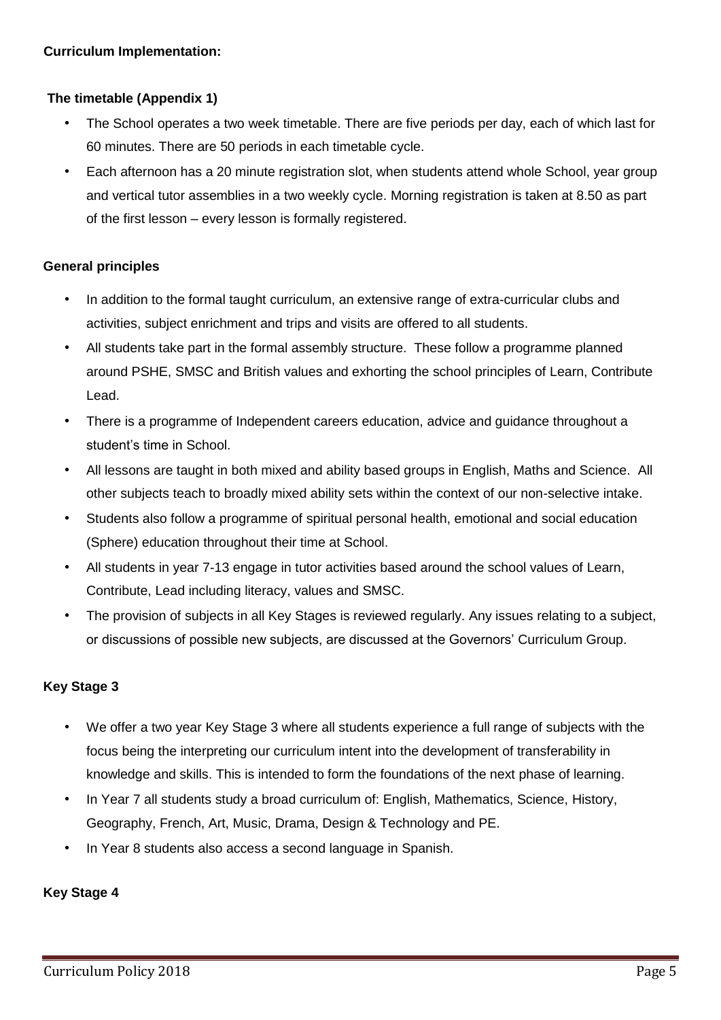## **The timetable (Appendix 1)**

- The School operates a two week timetable. There are five periods per day, each of which last for 60 minutes. There are 50 periods in each timetable cycle.
- Each afternoon has a 20 minute registration slot, when students attend whole School, year group and vertical tutor assemblies in a two weekly cycle. Morning registration is taken at 8.50 as part of the first lesson – every lesson is formally registered.

## **General principles**

- In addition to the formal taught curriculum, an extensive range of extra-curricular clubs and activities, subject enrichment and trips and visits are offered to all students.
- All students take part in the formal assembly structure. These follow a programme planned around PSHE, SMSC and British values and exhorting the school principles of Learn, Contribute Lead.
- There is a programme of Independent careers education, advice and guidance throughout a student's time in School.
- All lessons are taught in both mixed and ability based groups in English, Maths and Science. All other subjects teach to broadly mixed ability sets within the context of our non-selective intake.
- Students also follow a programme of spiritual personal health, emotional and social education (Sphere) education throughout their time at School.
- All students in year 7-13 engage in tutor activities based around the school values of Learn, Contribute, Lead including literacy, values and SMSC.
- The provision of subjects in all Key Stages is reviewed regularly. Any issues relating to a subject, or discussions of possible new subjects, are discussed at the Governors' Curriculum Group.

## **Key Stage 3**

- We offer a two year Key Stage 3 where all students experience a full range of subjects with the focus being the interpreting our curriculum intent into the development of transferability in knowledge and skills. This is intended to form the foundations of the next phase of learning.
- In Year 7 all students study a broad curriculum of: English, Mathematics, Science, History, Geography, French, Art, Music, Drama, Design & Technology and PE.
- In Year 8 students also access a second language in Spanish.

### **Key Stage 4**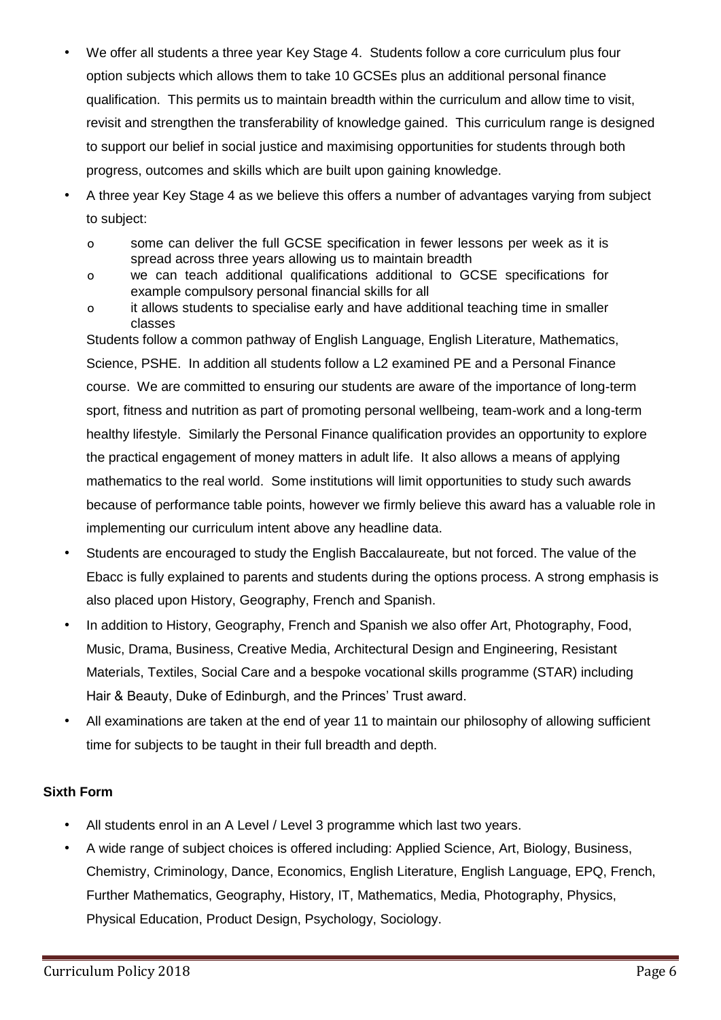- We offer all students a three year Key Stage 4. Students follow a core curriculum plus four option subjects which allows them to take 10 GCSEs plus an additional personal finance qualification. This permits us to maintain breadth within the curriculum and allow time to visit, revisit and strengthen the transferability of knowledge gained. This curriculum range is designed to support our belief in social justice and maximising opportunities for students through both progress, outcomes and skills which are built upon gaining knowledge.
- A three year Key Stage 4 as we believe this offers a number of advantages varying from subject to subject:
	- o some can deliver the full GCSE specification in fewer lessons per week as it is spread across three years allowing us to maintain breadth
	- o we can teach additional qualifications additional to GCSE specifications for example compulsory personal financial skills for all
	- o it allows students to specialise early and have additional teaching time in smaller classes

Students follow a common pathway of English Language, English Literature, Mathematics, Science, PSHE. In addition all students follow a L2 examined PE and a Personal Finance course. We are committed to ensuring our students are aware of the importance of long-term sport, fitness and nutrition as part of promoting personal wellbeing, team-work and a long-term healthy lifestyle. Similarly the Personal Finance qualification provides an opportunity to explore the practical engagement of money matters in adult life. It also allows a means of applying mathematics to the real world. Some institutions will limit opportunities to study such awards because of performance table points, however we firmly believe this award has a valuable role in implementing our curriculum intent above any headline data.

- Students are encouraged to study the English Baccalaureate, but not forced. The value of the Ebacc is fully explained to parents and students during the options process. A strong emphasis is also placed upon History, Geography, French and Spanish.
- In addition to History, Geography, French and Spanish we also offer Art, Photography, Food, Music, Drama, Business, Creative Media, Architectural Design and Engineering, Resistant Materials, Textiles, Social Care and a bespoke vocational skills programme (STAR) including Hair & Beauty, Duke of Edinburgh, and the Princes' Trust award.
- All examinations are taken at the end of year 11 to maintain our philosophy of allowing sufficient time for subjects to be taught in their full breadth and depth.

### **Sixth Form**

- All students enrol in an A Level / Level 3 programme which last two years.
- A wide range of subject choices is offered including: Applied Science, Art, Biology, Business, Chemistry, Criminology, Dance, Economics, English Literature, English Language, EPQ, French, Further Mathematics, Geography, History, IT, Mathematics, Media, Photography, Physics, Physical Education, Product Design, Psychology, Sociology.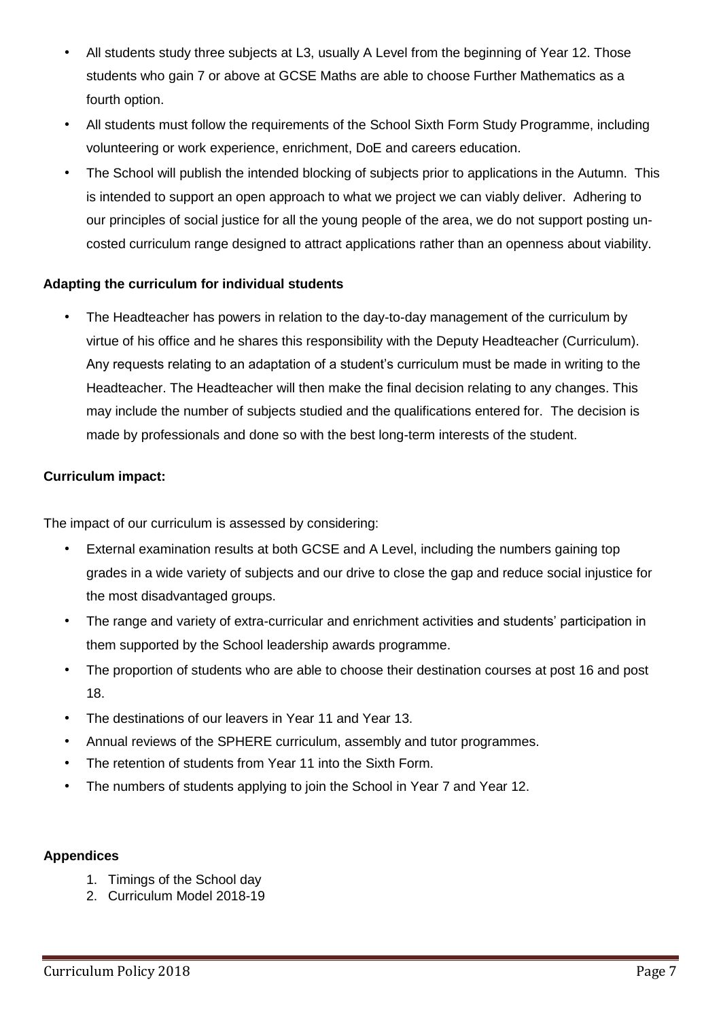- All students study three subjects at L3, usually A Level from the beginning of Year 12. Those students who gain 7 or above at GCSE Maths are able to choose Further Mathematics as a fourth option.
- All students must follow the requirements of the School Sixth Form Study Programme, including volunteering or work experience, enrichment, DoE and careers education.
- The School will publish the intended blocking of subjects prior to applications in the Autumn. This is intended to support an open approach to what we project we can viably deliver. Adhering to our principles of social justice for all the young people of the area, we do not support posting uncosted curriculum range designed to attract applications rather than an openness about viability.

### **Adapting the curriculum for individual students**

• The Headteacher has powers in relation to the day-to-day management of the curriculum by virtue of his office and he shares this responsibility with the Deputy Headteacher (Curriculum). Any requests relating to an adaptation of a student's curriculum must be made in writing to the Headteacher. The Headteacher will then make the final decision relating to any changes. This may include the number of subjects studied and the qualifications entered for. The decision is made by professionals and done so with the best long-term interests of the student.

#### **Curriculum impact:**

The impact of our curriculum is assessed by considering:

- External examination results at both GCSE and A Level, including the numbers gaining top grades in a wide variety of subjects and our drive to close the gap and reduce social injustice for the most disadvantaged groups.
- The range and variety of extra-curricular and enrichment activities and students' participation in them supported by the School leadership awards programme.
- The proportion of students who are able to choose their destination courses at post 16 and post 18.
- The destinations of our leavers in Year 11 and Year 13.
- Annual reviews of the SPHERE curriculum, assembly and tutor programmes.
- The retention of students from Year 11 into the Sixth Form.
- The numbers of students applying to join the School in Year 7 and Year 12.

### **Appendices**

- 1. Timings of the School day
- 2. Curriculum Model 2018-19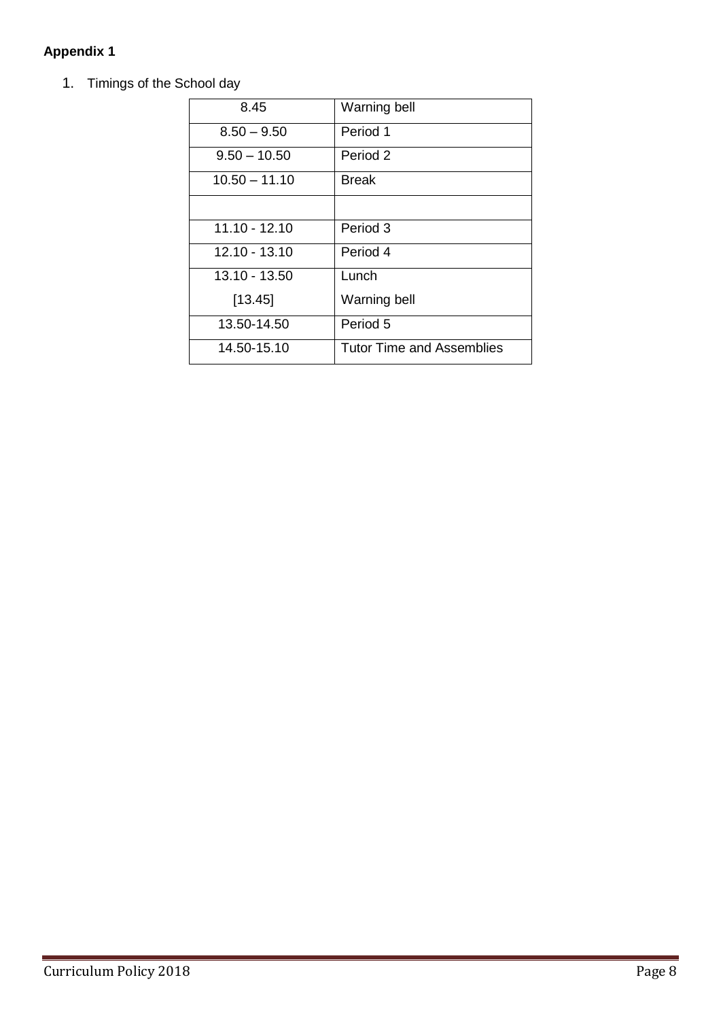## **Appendix 1**

1. Timings of the School day

| 8.45            | <b>Warning bell</b>              |
|-----------------|----------------------------------|
| $8.50 - 9.50$   | Period 1                         |
| $9.50 - 10.50$  | Period 2                         |
| $10.50 - 11.10$ | <b>Break</b>                     |
|                 |                                  |
| $11.10 - 12.10$ | Period 3                         |
| 12.10 - 13.10   | Period 4                         |
| 13.10 - 13.50   | Lunch                            |
| [13.45]         | Warning bell                     |
| 13.50-14.50     | Period 5                         |
| 14.50-15.10     | <b>Tutor Time and Assemblies</b> |